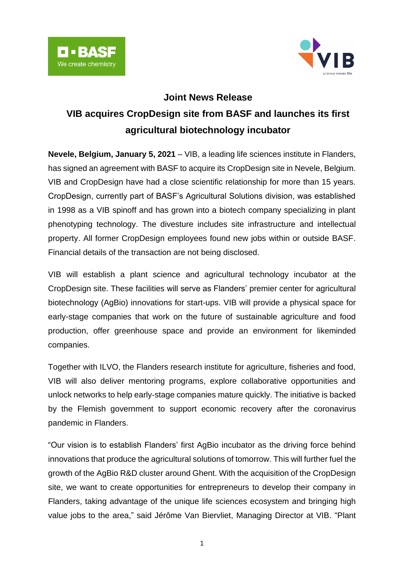



## **Joint News Release**

# **VIB acquires CropDesign site from BASF and launches its first agricultural biotechnology incubator**

**Nevele, Belgium, January 5, 2021** – VIB, a leading life sciences institute in Flanders, has signed an agreement with BASF to acquire its CropDesign site in Nevele, Belgium. VIB and CropDesign have had a close scientific relationship for more than 15 years. CropDesign, currently part of BASF's Agricultural Solutions division, was established in 1998 as a VIB spinoff and has grown into a biotech company specializing in plant phenotyping technology. The divesture includes site infrastructure and intellectual property. All former CropDesign employees found new jobs within or outside BASF. Financial details of the transaction are not being disclosed.

VIB will establish a plant science and agricultural technology incubator at the CropDesign site. These facilities will serve as Flanders' premier center for agricultural biotechnology (AgBio) innovations for start-ups. VIB will provide a physical space for early-stage companies that work on the future of sustainable agriculture and food production, offer greenhouse space and provide an environment for likeminded companies.

Together with ILVO, the Flanders research institute for agriculture, fisheries and food, VIB will also deliver mentoring programs, explore collaborative opportunities and unlock networks to help early-stage companies mature quickly. The initiative is backed by the Flemish government to support economic recovery after the coronavirus pandemic in Flanders.

"Our vision is to establish Flanders' first AgBio incubator as the driving force behind innovations that produce the agricultural solutions of tomorrow. This will further fuel the growth of the AgBio R&D cluster around Ghent. With the acquisition of the CropDesign site, we want to create opportunities for entrepreneurs to develop their company in Flanders, taking advantage of the unique life sciences ecosystem and bringing high value jobs to the area," said Jérôme Van Biervliet, Managing Director at VIB. "Plant